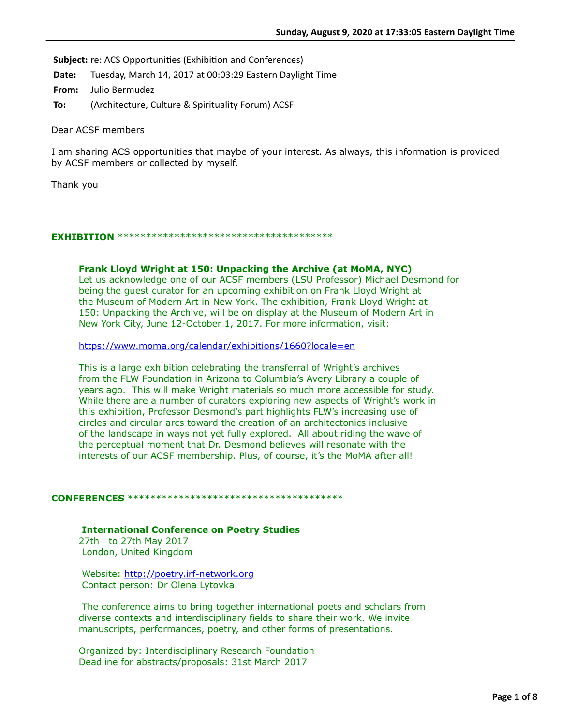**Subject:** re: ACS Opportunities (Exhibition and Conferences)

**Date:** Tuesday, March 14, 2017 at 00:03:29 Eastern Daylight Time

**From:** Julio Bermudez

**To:** (Architecture, Culture & Spirituality Forum) ACSF

Dear ACSF members

I am sharing ACS opportunities that maybe of your interest. As always, this information is provided by ACSF members or collected by myself.

Thank you

## **EXHIBITION** \*\*\*\*\*\*\*\*\*\*\*\*\*\*\*\*\*\*\*\*\*\*\*\*\*\*\*\*\*\*\*\*\*\*\*\*\*\*

## **Frank Lloyd Wright at 150: Unpacking the Archive (at MoMA, NYC)**

Let us acknowledge one of our ACSF members (LSU Professor) Michael Desmond for being the guest curator for an upcoming exhibition on Frank Lloyd Wright at the Museum of Modern Art in New York. The exhibition, Frank Lloyd Wright at 150: Unpacking the Archive, will be on display at the Museum of Modern Art in New York City, June 12-October 1, 2017. For more information, visit:

<https://www.moma.org/calendar/exhibitions/1660?locale=en>

This is a large exhibition celebrating the transferral of Wright's archives from the FLW Foundation in Arizona to Columbia's Avery Library a couple of years ago. This will make Wright materials so much more accessible for study. While there are a number of curators exploring new aspects of Wright's work in this exhibition, Professor Desmond's part highlights FLW's increasing use of circles and circular arcs toward the creation of an architectonics inclusive of the landscape in ways not yet fully explored. All about riding the wave of the perceptual moment that Dr. Desmond believes will resonate with the interests of our ACSF membership. Plus, of course, it's the MoMA after all!

## **CONFERENCES** \*\*\*\*\*\*\*\*\*\*\*\*\*\*\*\*\*\*\*\*\*\*\*\*\*\*\*\*\*\*\*\*\*\*\*\*\*\*

**International Conference on Poetry Studies** 

27th to 27th May 2017 London, United Kingdom

Website: [http://poetry.irf-network.org](http://poetry.irf-network.org/) Contact person: Dr Olena Lytovka

 The conference aims to bring together international poets and scholars from diverse contexts and interdisciplinary fields to share their work. We invite manuscripts, performances, poetry, and other forms of presentations.

Organized by: Interdisciplinary Research Foundation Deadline for abstracts/proposals: 31st March 2017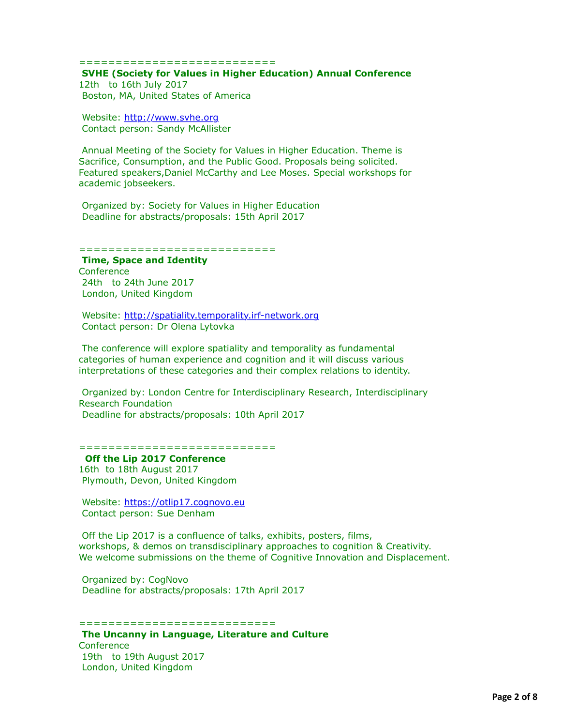#### ===========================

### **SVHE (Society for Values in Higher Education) Annual Conference**  12th to 16th July 2017

Boston, MA, United States of America

 Website: [http://www.svhe.org](http://www.svhe.org/) Contact person: Sandy McAllister

 Annual Meeting of the Society for Values in Higher Education. Theme is Sacrifice, Consumption, and the Public Good. Proposals being solicited. Featured speakers,Daniel McCarthy and Lee Moses. Special workshops for academic jobseekers.

 Organized by: Society for Values in Higher Education Deadline for abstracts/proposals: 15th April 2017

#### ===========================

### **Time, Space and Identity**

**Conference**  24th to 24th June 2017 London, United Kingdom

 Website: [http://spatiality.temporality.irf-network.org](http://spatiality.temporality.irf-network.org/) Contact person: Dr Olena Lytovka

 The conference will explore spatiality and temporality as fundamental categories of human experience and cognition and it will discuss various interpretations of these categories and their complex relations to identity.

 Organized by: London Centre for Interdisciplinary Research, Interdisciplinary Research Foundation Deadline for abstracts/proposals: 10th April 2017

### ==============================

### **Off the Lip 2017 Conference**  16th to 18th August 2017

Plymouth, Devon, United Kingdom

 Website: [https://otlip17.cognovo.eu](https://otlip17.cognovo.eu/) Contact person: Sue Denham

 Off the Lip 2017 is a confluence of talks, exhibits, posters, films, workshops, & demos on transdisciplinary approaches to cognition & Creativity. We welcome submissions on the theme of Cognitive Innovation and Displacement.

 Organized by: CogNovo Deadline for abstracts/proposals: 17th April 2017

==============================

**The Uncanny in Language, Literature and Culture Conference** 19th to 19th August 2017

London, United Kingdom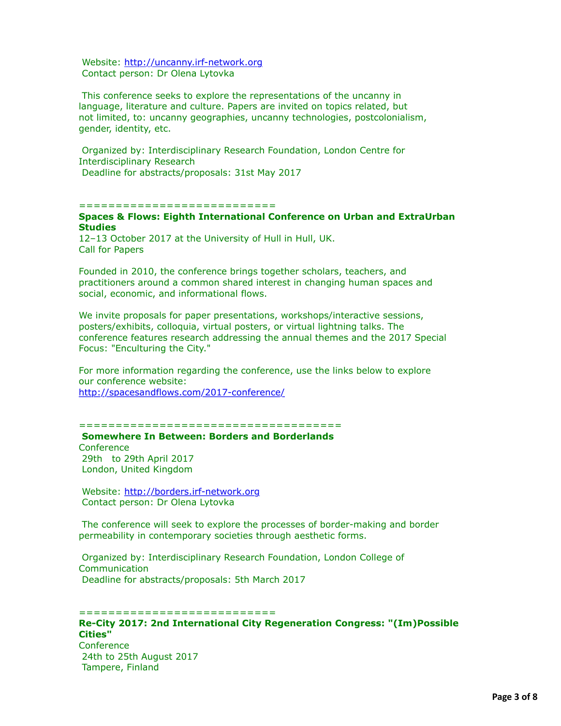Website: [http://uncanny.irf-network.org](http://uncanny.irf-network.org/) Contact person: Dr Olena Lytovka

 This conference seeks to explore the representations of the uncanny in language, literature and culture. Papers are invited on topics related, but not limited, to: uncanny geographies, uncanny technologies, postcolonialism, gender, identity, etc.

 Organized by: Interdisciplinary Research Foundation, London Centre for Interdisciplinary Research Deadline for abstracts/proposals: 31st May 2017

### =============================

# **Spaces & Flows: Eighth International Conference on Urban and ExtraUrban Studies**

12–13 October 2017 at the University of Hull in Hull, UK. Call for Papers

Founded in 2010, the conference brings together scholars, teachers, and practitioners around a common shared interest in changing human spaces and social, economic, and informational flows.

We invite proposals for paper presentations, workshops/interactive sessions, posters/exhibits, colloquia, virtual posters, or virtual lightning talks. The conference features research addressing the annual themes and the 2017 Special Focus: "Enculturing the City."

For more information regarding the conference, use the links below to explore our conference website: <http://spacesandflows.com/2017-conference/>

====================================

**Somewhere In Between: Borders and Borderlands** 

**Conference**  29th to 29th April 2017 London, United Kingdom

 Website: [http://borders.irf-network.org](http://borders.irf-network.org/) Contact person: Dr Olena Lytovka

 The conference will seek to explore the processes of border-making and border permeability in contemporary societies through aesthetic forms.

 Organized by: Interdisciplinary Research Foundation, London College of Communication Deadline for abstracts/proposals: 5th March 2017

============================== **Re-City 2017: 2nd International City Regeneration Congress: "(Im)Possible Cities" Conference**  24th to 25th August 2017 Tampere, Finland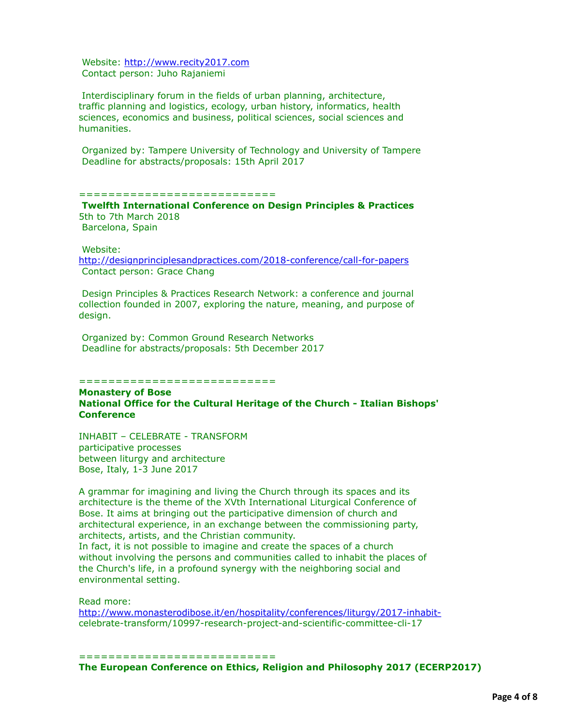Website: [http://www.recity2017.com](http://www.recity2017.com/) Contact person: Juho Rajaniemi

 Interdisciplinary forum in the fields of urban planning, architecture, traffic planning and logistics, ecology, urban history, informatics, health sciences, economics and business, political sciences, social sciences and humanities.

 Organized by: Tampere University of Technology and University of Tampere Deadline for abstracts/proposals: 15th April 2017

### ===========================

**Twelfth International Conference on Design Principles & Practices**  5th to 7th March 2018 Barcelona, Spain

Website:

<http://designprinciplesandpractices.com/2018-conference/call-for-papers> Contact person: Grace Chang

 Design Principles & Practices Research Network: a conference and journal collection founded in 2007, exploring the nature, meaning, and purpose of design.

 Organized by: Common Ground Research Networks Deadline for abstracts/proposals: 5th December 2017

==============================

**Monastery of Bose National Office for the Cultural Heritage of the Church - Italian Bishops' Conference**

INHABIT – CELEBRATE - TRANSFORM participative processes between liturgy and architecture Bose, Italy, 1-3 June 2017

A grammar for imagining and living the Church through its spaces and its architecture is the theme of the XVth International Liturgical Conference of Bose. It aims at bringing out the participative dimension of church and architectural experience, in an exchange between the commissioning party, architects, artists, and the Christian community.

In fact, it is not possible to imagine and create the spaces of a church without involving the persons and communities called to inhabit the places of the Church's life, in a profound synergy with the neighboring social and environmental setting.

Read more:

[http://www.monasterodibose.it/en/hospitality/conferences/liturgy/2017-inhabit](http://www.monasterodibose.it/en/hospitality/conferences/liturgy/2017-inhabit-)celebrate-transform/10997-research-project-and-scientific-committee-cli-17

==============================

**The European Conference on Ethics, Religion and Philosophy 2017 (ECERP2017)**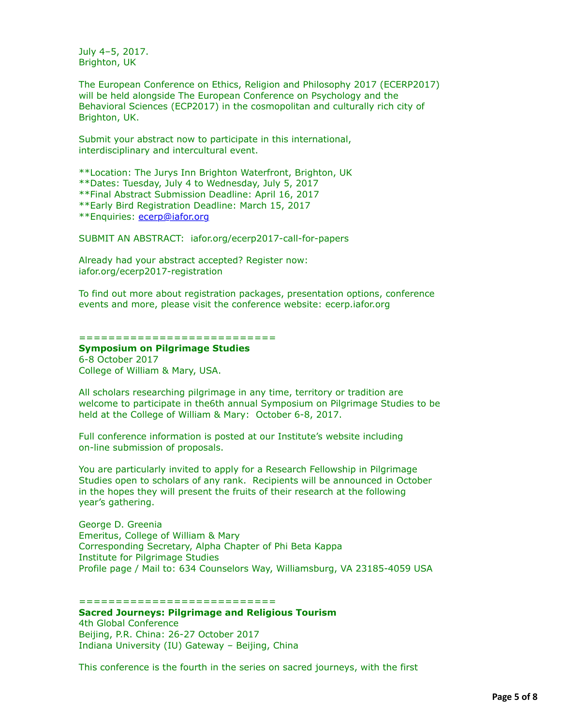July 4–5, 2017. Brighton, UK

The European Conference on Ethics, Religion and Philosophy 2017 (ECERP2017) will be held alongside The European Conference on Psychology and the Behavioral Sciences (ECP2017) in the cosmopolitan and culturally rich city of Brighton, UK.

Submit your abstract now to participate in this international, interdisciplinary and intercultural event.

\*\*Location: The Jurys Inn Brighton Waterfront, Brighton, UK

\*\*Dates: Tuesday, July 4 to Wednesday, July 5, 2017

\*\*Final Abstract Submission Deadline: April 16, 2017

\*\*Early Bird Registration Deadline: March 15, 2017

\*\*Enquiries: [ecerp@iafor.org](applewebdata://88BF1338-FA26-4427-9962-7E4B1088EA96/ecerp@iafor.org)

SUBMIT AN ABSTRACT: iafor.org/ecerp2017-call-for-papers

Already had your abstract accepted? Register now: iafor.org/ecerp2017-registration

To find out more about registration packages, presentation options, conference events and more, please visit the conference website: ecerp.iafor.org

=============================

# **Symposium on Pilgrimage Studies**

6-8 October 2017 College of William & Mary, USA.

All scholars researching pilgrimage in any time, territory or tradition are welcome to participate in the6th annual Symposium on Pilgrimage Studies to be held at the College of William & Mary: October 6-8, 2017.

Full conference information is posted at our Institute's website including on-line submission of proposals.

You are particularly invited to apply for a Research Fellowship in Pilgrimage Studies open to scholars of any rank. Recipients will be announced in October in the hopes they will present the fruits of their research at the following year's gathering.

George D. Greenia Emeritus, College of William & Mary Corresponding Secretary, Alpha Chapter of Phi Beta Kappa Institute for Pilgrimage Studies Profile page / Mail to: 634 Counselors Way, Williamsburg, VA 23185-4059 USA

===========================

**Sacred Journeys: Pilgrimage and Religious Tourism**

4th Global Conference Beijing, P.R. China: 26-27 October 2017 Indiana University (IU) Gateway – Beijing, China

This conference is the fourth in the series on sacred journeys, with the first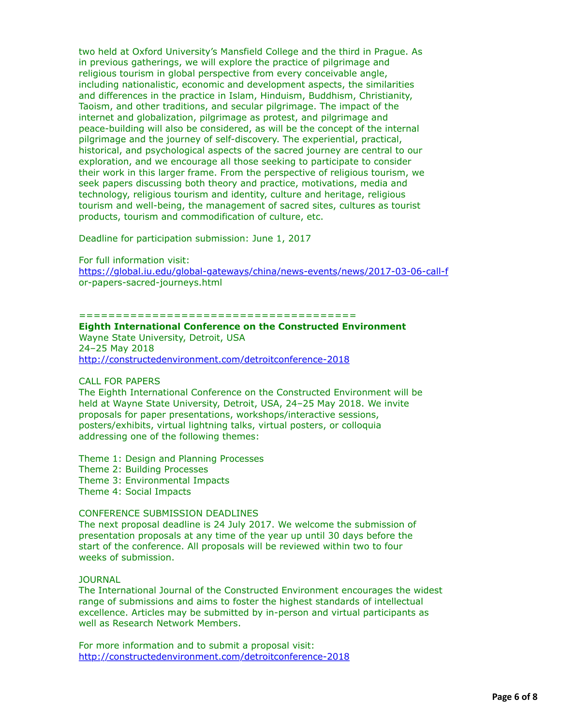two held at Oxford University's Mansfield College and the third in Prague. As in previous gatherings, we will explore the practice of pilgrimage and religious tourism in global perspective from every conceivable angle, including nationalistic, economic and development aspects, the similarities and differences in the practice in Islam, Hinduism, Buddhism, Christianity, Taoism, and other traditions, and secular pilgrimage. The impact of the internet and globalization, pilgrimage as protest, and pilgrimage and peace-building will also be considered, as will be the concept of the internal pilgrimage and the journey of self-discovery. The experiential, practical, historical, and psychological aspects of the sacred journey are central to our exploration, and we encourage all those seeking to participate to consider their work in this larger frame. From the perspective of religious tourism, we seek papers discussing both theory and practice, motivations, media and technology, religious tourism and identity, culture and heritage, religious tourism and well-being, the management of sacred sites, cultures as tourist products, tourism and commodification of culture, etc.

Deadline for participation submission: June 1, 2017

For full information visit: <https://global.iu.edu/global-gateways/china/news-events/news/2017-03-06-call-f> or-papers-sacred-journeys.html

### ======================================

### **Eighth International Conference on the Constructed Environment** Wayne State University, Detroit, USA 24–25 May 2018

<http://constructedenvironment.com/detroitconference-2018>

# CALL FOR PAPERS

The Eighth International Conference on the Constructed Environment will be held at Wayne State University, Detroit, USA, 24–25 May 2018. We invite proposals for paper presentations, workshops/interactive sessions, posters/exhibits, virtual lightning talks, virtual posters, or colloquia addressing one of the following themes:

Theme 1: Design and Planning Processes

Theme 2: Building Processes

Theme 3: Environmental Impacts

Theme 4: Social Impacts

# CONFERENCE SUBMISSION DEADLINES

The next proposal deadline is 24 July 2017. We welcome the submission of presentation proposals at any time of the year up until 30 days before the start of the conference. All proposals will be reviewed within two to four weeks of submission.

JOURNAL

The International Journal of the Constructed Environment encourages the widest range of submissions and aims to foster the highest standards of intellectual excellence. Articles may be submitted by in-person and virtual participants as well as Research Network Members.

For more information and to submit a proposal visit: <http://constructedenvironment.com/detroitconference-2018>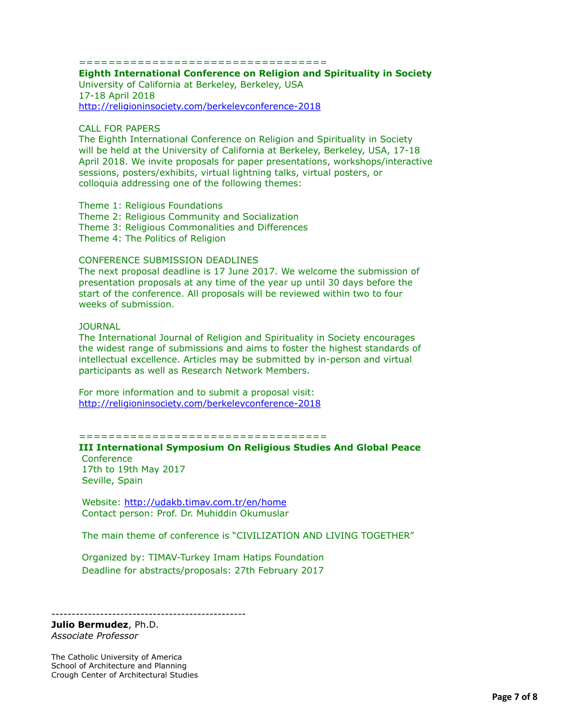==================================

**Eighth International Conference on Religion and Spirituality in Society** University of California at Berkeley, Berkeley, USA 17-18 April 2018

<http://religioninsociety.com/berkeleyconference-2018>

## CALL FOR PAPERS

The Eighth International Conference on Religion and Spirituality in Society will be held at the University of California at Berkeley, Berkeley, USA, 17-18 April 2018. We invite proposals for paper presentations, workshops/interactive sessions, posters/exhibits, virtual lightning talks, virtual posters, or colloquia addressing one of the following themes:

Theme 1: Religious Foundations Theme 2: Religious Community and Socialization Theme 3: Religious Commonalities and Differences Theme 4: The Politics of Religion

### CONFERENCE SUBMISSION DEADLINES

The next proposal deadline is 17 June 2017. We welcome the submission of presentation proposals at any time of the year up until 30 days before the start of the conference. All proposals will be reviewed within two to four weeks of submission.

### JOURNAL

The International Journal of Religion and Spirituality in Society encourages the widest range of submissions and aims to foster the highest standards of intellectual excellence. Articles may be submitted by in-person and virtual participants as well as Research Network Members.

For more information and to submit a proposal visit: <http://religioninsociety.com/berkeleyconference-2018>

### ==================================

# **III International Symposium On Religious Studies And Global Peace**

**Conference**  17th to 19th May 2017 Seville, Spain

 Website: <http://udakb.timav.com.tr/en/home> Contact person: Prof. Dr. Muhiddin Okumuslar

The main theme of conference is "CIVILIZATION AND LIVING TOGETHER"

 Organized by: TIMAV-Turkey Imam Hatips Foundation Deadline for abstracts/proposals: 27th February 2017

------------------------------------------------

**Julio Bermudez**, Ph.D. *Associate Professor*

The Catholic University of America School of Architecture and Planning Crough Center of Architectural Studies